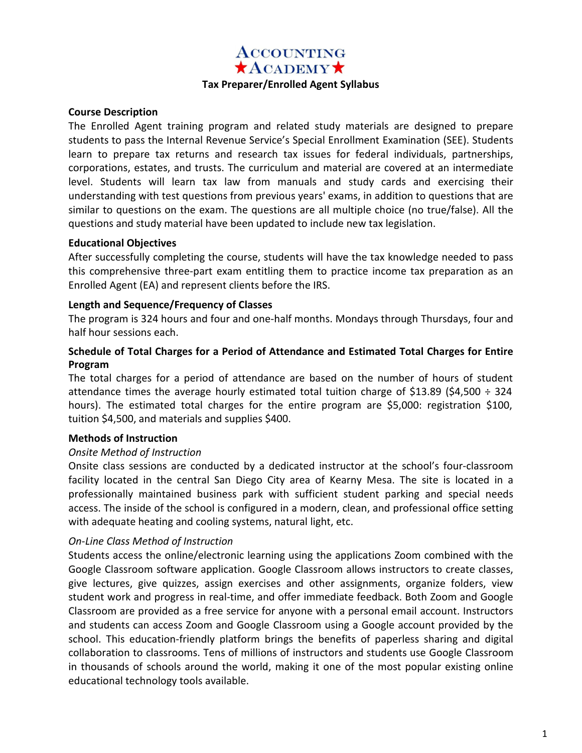### **ACCOUNTING**  $\star$ ACADEMY $\star$

#### **Tax Preparer/Enrolled Agent Syllabus**

#### **Course Description**

The Enrolled Agent training program and related study materials are designed to prepare students to pass the Internal Revenue Service's Special Enrollment Examination (SEE). Students learn to prepare tax returns and research tax issues for federal individuals, partnerships, corporations, estates, and trusts. The curriculum and material are covered at an intermediate level. Students will learn tax law from manuals and study cards and exercising their understanding with test questions from previous years' exams, in addition to questions that are similar to questions on the exam. The questions are all multiple choice (no true/false). All the questions and study material have been updated to include new tax legislation.

#### **Educational Objectives**

After successfully completing the course, students will have the tax knowledge needed to pass this comprehensive three-part exam entitling them to practice income tax preparation as an Enrolled Agent (EA) and represent clients before the IRS.

#### **Length and Sequence/Frequency of Classes**

The program is 324 hours and four and one-half months. Mondays through Thursdays, four and half hour sessions each.

#### **Schedule of Total Charges for a Period of Attendance and Estimated Total Charges for Entire Program**

The total charges for a period of attendance are based on the number of hours of student attendance times the average hourly estimated total tuition charge of \$13.89 (\$4,500  $\div$  324 hours). The estimated total charges for the entire program are \$5,000: registration \$100, tuition \$4,500, and materials and supplies \$400.

#### **Methods of Instruction**

#### *Onsite Method of Instruction*

Onsite class sessions are conducted by a dedicated instructor at the school's four-classroom facility located in the central San Diego City area of Kearny Mesa. The site is located in a professionally maintained business park with sufficient student parking and special needs access. The inside of the school is configured in a modern, clean, and professional office setting with adequate heating and cooling systems, natural light, etc.

#### *On-Line Class Method of Instruction*

Students access the online/electronic learning using the applications Zoom combined with the Google Classroom software application. Google Classroom allows instructors to create classes, give lectures, give quizzes, assign exercises and other assignments, organize folders, view student work and progress in real-time, and offer immediate feedback. Both Zoom and Google Classroom are provided as a free service for anyone with a personal email account. Instructors and students can access Zoom and Google Classroom using a Google account provided by the school. This education-friendly platform brings the benefits of paperless sharing and digital collaboration to classrooms. Tens of millions of instructors and students use Google Classroom in thousands of schools around the world, making it one of the most popular existing online educational technology tools available.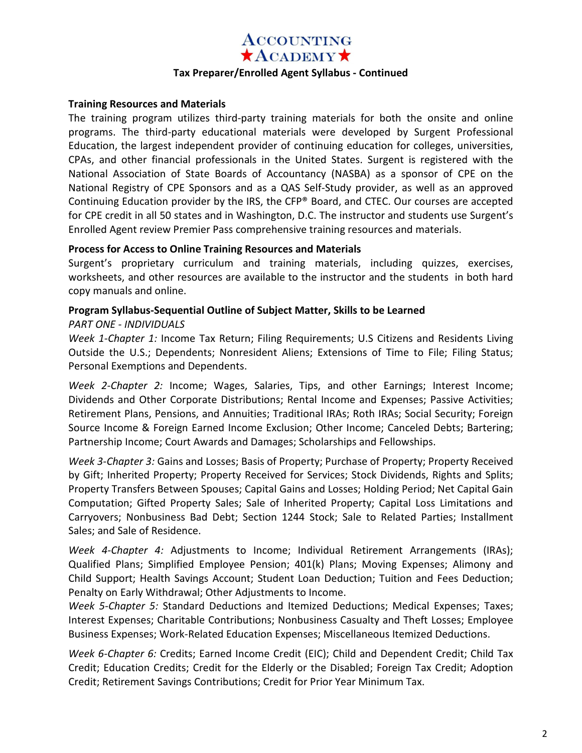# **ACCOUNTING**  $\star$ ACADEMY $\star$

#### **Tax Preparer/Enrolled Agent Syllabus - Continued**

#### **Training Resources and Materials**

The training program utilizes third-party training materials for both the onsite and online programs. The third-party educational materials were developed by Surgent Professional Education, the largest independent provider of continuing education for colleges, universities, CPAs, and other financial professionals in the United States. Surgent is registered with the National Association of State Boards of Accountancy (NASBA) as a sponsor of CPE on the National Registry of CPE Sponsors and as a QAS Self-Study provider, as well as an approved Continuing Education provider by the IRS, the CFP® Board, and CTEC. Our courses are accepted for CPE credit in all 50 states and in Washington, D.C. The instructor and students use Surgent's Enrolled Agent review Premier Pass comprehensive training resources and materials.

#### **Process for Access to Online Training Resources and Materials**

Surgent's proprietary curriculum and training materials, including quizzes, exercises, worksheets, and other resources are available to the instructor and the students in both hard copy manuals and online.

### **Program Syllabus-Sequential Outline of Subject Matter, Skills to be Learned**

#### *PART ONE - INDIVIDUALS*

*Week 1-Chapter 1:* Income Tax Return; Filing Requirements; U.S Citizens and Residents Living Outside the U.S.; Dependents; Nonresident Aliens; Extensions of Time to File; Filing Status; Personal Exemptions and Dependents.

*Week 2-Chapter 2:* Income; Wages, Salaries, Tips, and other Earnings; Interest Income; Dividends and Other Corporate Distributions; Rental Income and Expenses; Passive Activities; Retirement Plans, Pensions, and Annuities; Traditional IRAs; Roth IRAs; Social Security; Foreign Source Income & Foreign Earned Income Exclusion; Other Income; Canceled Debts; Bartering; Partnership Income; Court Awards and Damages; Scholarships and Fellowships.

*Week 3-Chapter 3:* Gains and Losses; Basis of Property; Purchase of Property; Property Received by Gift; Inherited Property; Property Received for Services; Stock Dividends, Rights and Splits; Property Transfers Between Spouses; Capital Gains and Losses; Holding Period; Net Capital Gain Computation; Gifted Property Sales; Sale of Inherited Property; Capital Loss Limitations and Carryovers; Nonbusiness Bad Debt; Section 1244 Stock; Sale to Related Parties; Installment Sales; and Sale of Residence.

*Week 4-Chapter 4:* Adjustments to Income; Individual Retirement Arrangements (IRAs); Qualified Plans; Simplified Employee Pension; 401(k) Plans; Moving Expenses; Alimony and Child Support; Health Savings Account; Student Loan Deduction; Tuition and Fees Deduction; Penalty on Early Withdrawal; Other Adjustments to Income.

*Week 5-Chapter 5:* Standard Deductions and Itemized Deductions; Medical Expenses; Taxes; Interest Expenses; Charitable Contributions; Nonbusiness Casualty and Theft Losses; Employee Business Expenses; Work-Related Education Expenses; Miscellaneous Itemized Deductions.

*Week 6-Chapter 6:* Credits; Earned Income Credit (EIC); Child and Dependent Credit; Child Tax Credit; Education Credits; Credit for the Elderly or the Disabled; Foreign Tax Credit; Adoption Credit; Retirement Savings Contributions; Credit for Prior Year Minimum Tax.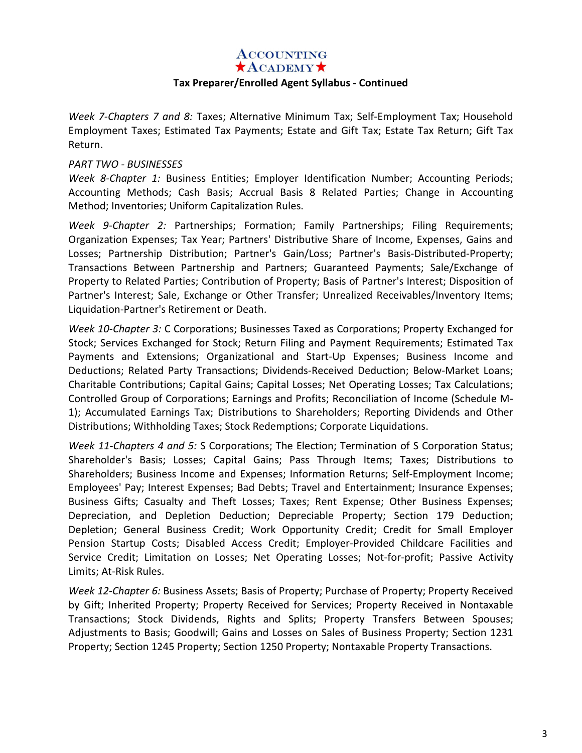### **ACCOUNTING**

 $\star$ ACADEMY $\star$ 

#### **Tax Preparer/Enrolled Agent Syllabus - Continued**

*Week 7-Chapters 7 and 8:* Taxes; Alternative Minimum Tax; Self-Employment Tax; Household Employment Taxes; Estimated Tax Payments; Estate and Gift Tax; Estate Tax Return; Gift Tax Return.

#### *PART TWO - BUSINESSES*

*Week 8-Chapter 1:* Business Entities; Employer Identification Number; Accounting Periods; Accounting Methods; Cash Basis; Accrual Basis 8 Related Parties; Change in Accounting Method; Inventories; Uniform Capitalization Rules.

*Week 9-Chapter 2:* Partnerships; Formation; Family Partnerships; Filing Requirements; Organization Expenses; Tax Year; Partners' Distributive Share of Income, Expenses, Gains and Losses; Partnership Distribution; Partner's Gain/Loss; Partner's Basis-Distributed-Property; Transactions Between Partnership and Partners; Guaranteed Payments; Sale/Exchange of Property to Related Parties; Contribution of Property; Basis of Partner's Interest; Disposition of Partner's Interest; Sale, Exchange or Other Transfer; Unrealized Receivables/Inventory Items; Liquidation-Partner's Retirement or Death.

*Week 10-Chapter 3:* C Corporations; Businesses Taxed as Corporations; Property Exchanged for Stock; Services Exchanged for Stock; Return Filing and Payment Requirements; Estimated Tax Payments and Extensions; Organizational and Start-Up Expenses; Business Income and Deductions; Related Party Transactions; Dividends-Received Deduction; Below-Market Loans; Charitable Contributions; Capital Gains; Capital Losses; Net Operating Losses; Tax Calculations; Controlled Group of Corporations; Earnings and Profits; Reconciliation of Income (Schedule M-1); Accumulated Earnings Tax; Distributions to Shareholders; Reporting Dividends and Other Distributions; Withholding Taxes; Stock Redemptions; Corporate Liquidations.

*Week 11-Chapters 4 and 5:* S Corporations; The Election; Termination of S Corporation Status; Shareholder's Basis; Losses; Capital Gains; Pass Through Items; Taxes; Distributions to Shareholders; Business Income and Expenses; Information Returns; Self-Employment Income; Employees' Pay; Interest Expenses; Bad Debts; Travel and Entertainment; Insurance Expenses; Business Gifts; Casualty and Theft Losses; Taxes; Rent Expense; Other Business Expenses; Depreciation, and Depletion Deduction; Depreciable Property; Section 179 Deduction; Depletion; General Business Credit; Work Opportunity Credit; Credit for Small Employer Pension Startup Costs; Disabled Access Credit; Employer-Provided Childcare Facilities and Service Credit; Limitation on Losses; Net Operating Losses; Not-for-profit; Passive Activity Limits; At-Risk Rules.

*Week 12-Chapter 6:* Business Assets; Basis of Property; Purchase of Property; Property Received by Gift; Inherited Property; Property Received for Services; Property Received in Nontaxable Transactions; Stock Dividends, Rights and Splits; Property Transfers Between Spouses; Adjustments to Basis; Goodwill; Gains and Losses on Sales of Business Property; Section 1231 Property; Section 1245 Property; Section 1250 Property; Nontaxable Property Transactions.